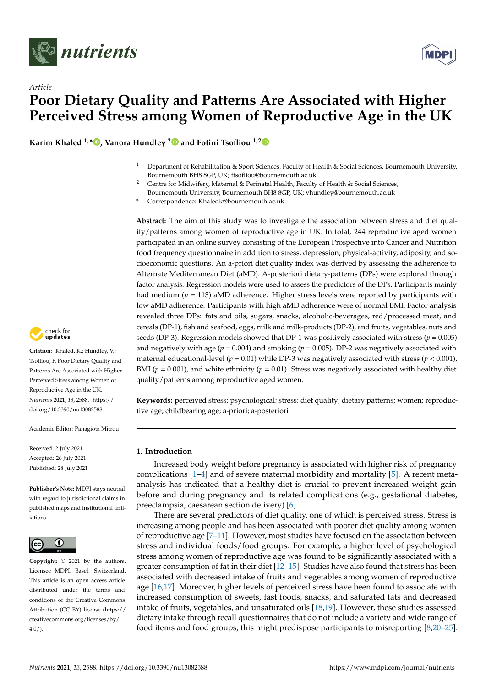

*Article*



# **Poor Dietary Quality and Patterns Are Associated with Higher Perceived Stress among Women of Reproductive Age in the UK**

**Karim Khaled 1,[\\*](https://orcid.org/0000-0003-4127-5468) , Vanora Hundley [2](https://orcid.org/0000-0003-3578-4135) and Fotini Tsofliou 1,[2](https://orcid.org/0000-0003-1605-5826)**

- <sup>1</sup> Department of Rehabilitation & Sport Sciences, Faculty of Health & Social Sciences, Bournemouth University, Bournemouth BH8 8GP, UK; ftsofliou@bournemouth.ac.uk
- <sup>2</sup> Centre for Midwifery, Maternal & Perinatal Health, Faculty of Health & Social Sciences, Bournemouth University, Bournemouth BH8 8GP, UK; vhundley@bournemouth.ac.uk

**\*** Correspondence: Khaledk@bournemouth.ac.uk

**Abstract:** The aim of this study was to investigate the association between stress and diet quality/patterns among women of reproductive age in UK. In total, 244 reproductive aged women participated in an online survey consisting of the European Prospective into Cancer and Nutrition food frequency questionnaire in addition to stress, depression, physical-activity, adiposity, and socioeconomic questions. An a-priori diet quality index was derived by assessing the adherence to Alternate Mediterranean Diet (aMD). A-posteriori dietary-patterns (DPs) were explored through factor analysis. Regression models were used to assess the predictors of the DPs. Participants mainly had medium ( $n = 113$ ) aMD adherence. Higher stress levels were reported by participants with low aMD adherence. Participants with high aMD adherence were of normal BMI. Factor analysis revealed three DPs: fats and oils, sugars, snacks, alcoholic-beverages, red/processed meat, and cereals (DP-1), fish and seafood, eggs, milk and milk-products (DP-2), and fruits, vegetables, nuts and seeds (DP-3). Regression models showed that DP-1 was positively associated with stress ( $p = 0.005$ ) and negatively with age ( $p = 0.004$ ) and smoking ( $p = 0.005$ ). DP-2 was negatively associated with maternal educational-level ( $p = 0.01$ ) while DP-3 was negatively associated with stress ( $p < 0.001$ ), BMI ( $p = 0.001$ ), and white ethnicity ( $p = 0.01$ ). Stress was negatively associated with healthy diet quality/patterns among reproductive aged women.

**Keywords:** perceived stress; psychological; stress; diet quality; dietary patterns; women; reproductive age; childbearing age; a-priori; a-posteriori

# **1. Introduction**

Increased body weight before pregnancy is associated with higher risk of pregnancy complications [\[1](#page-12-0)[–4\]](#page-12-1) and of severe maternal morbidity and mortality [\[5\]](#page-12-2). A recent metaanalysis has indicated that a healthy diet is crucial to prevent increased weight gain before and during pregnancy and its related complications (e.g., gestational diabetes, preeclampsia, caesarean section delivery) [\[6\]](#page-12-3).

There are several predictors of diet quality, one of which is perceived stress. Stress is increasing among people and has been associated with poorer diet quality among women of reproductive age [\[7](#page-12-4)[–11\]](#page-12-5). However, most studies have focused on the association between stress and individual foods/food groups. For example, a higher level of psychological stress among women of reproductive age was found to be significantly associated with a greater consumption of fat in their diet [\[12](#page-12-6)[–15\]](#page-12-7). Studies have also found that stress has been associated with decreased intake of fruits and vegetables among women of reproductive age [\[16](#page-12-8)[,17\]](#page-12-9). Moreover, higher levels of perceived stress have been found to associate with increased consumption of sweets, fast foods, snacks, and saturated fats and decreased intake of fruits, vegetables, and unsaturated oils [\[18,](#page-12-10)[19\]](#page-12-11). However, these studies assessed dietary intake through recall questionnaires that do not include a variety and wide range of food items and food groups; this might predispose participants to misreporting [\[8](#page-12-12)[,20](#page-12-13)[–25\]](#page-12-14).



**Citation:** Khaled, K.; Hundley, V.; Tsofliou, F. Poor Dietary Quality and Patterns Are Associated with Higher Perceived Stress among Women of Reproductive Age in the UK. *Nutrients* **2021**, *13*, 2588. [https://](https://doi.org/10.3390/nu13082588) [doi.org/10.3390/nu13082588](https://doi.org/10.3390/nu13082588)

Academic Editor: Panagiota Mitrou

Received: 2 July 2021 Accepted: 26 July 2021 Published: 28 July 2021

**Publisher's Note:** MDPI stays neutral with regard to jurisdictional claims in published maps and institutional affiliations.



**Copyright:** © 2021 by the authors. Licensee MDPI, Basel, Switzerland. This article is an open access article distributed under the terms and conditions of the Creative Commons Attribution (CC BY) license (https:/[/](https://creativecommons.org/licenses/by/4.0/) [creativecommons.org/licenses/by/](https://creativecommons.org/licenses/by/4.0/)  $4.0/$ ).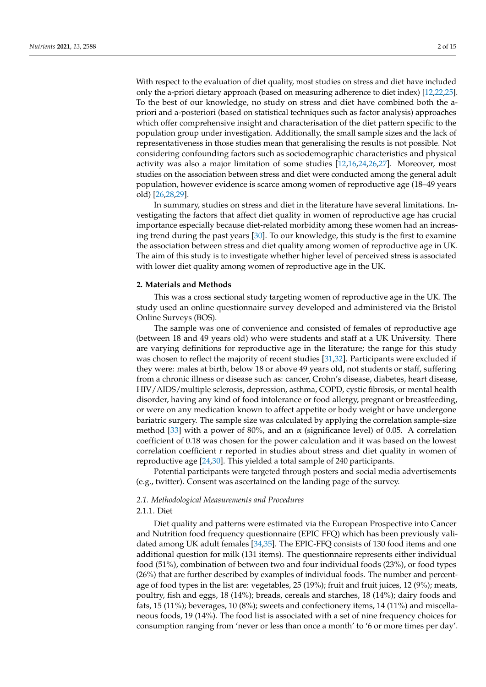With respect to the evaluation of diet quality, most studies on stress and diet have included only the a-priori dietary approach (based on measuring adherence to diet index) [\[12](#page-12-6)[,22](#page-12-15)[,25\]](#page-12-14). To the best of our knowledge, no study on stress and diet have combined both the apriori and a-posteriori (based on statistical techniques such as factor analysis) approaches which offer comprehensive insight and characterisation of the diet pattern specific to the population group under investigation. Additionally, the small sample sizes and the lack of representativeness in those studies mean that generalising the results is not possible. Not considering confounding factors such as sociodemographic characteristics and physical activity was also a major limitation of some studies [\[12,](#page-12-6)[16,](#page-12-8)[24,](#page-12-16)[26,](#page-12-17)[27\]](#page-12-18). Moreover, most studies on the association between stress and diet were conducted among the general adult population, however evidence is scarce among women of reproductive age (18–49 years old) [\[26](#page-12-17)[,28,](#page-13-0)[29\]](#page-13-1).

In summary, studies on stress and diet in the literature have several limitations. Investigating the factors that affect diet quality in women of reproductive age has crucial importance especially because diet-related morbidity among these women had an increasing trend during the past years [\[30\]](#page-13-2). To our knowledge, this study is the first to examine the association between stress and diet quality among women of reproductive age in UK. The aim of this study is to investigate whether higher level of perceived stress is associated with lower diet quality among women of reproductive age in the UK.

#### **2. Materials and Methods**

This was a cross sectional study targeting women of reproductive age in the UK. The study used an online questionnaire survey developed and administered via the Bristol Online Surveys (BOS).

The sample was one of convenience and consisted of females of reproductive age (between 18 and 49 years old) who were students and staff at a UK University. There are varying definitions for reproductive age in the literature; the range for this study was chosen to reflect the majority of recent studies [\[31,](#page-13-3)[32\]](#page-13-4). Participants were excluded if they were: males at birth, below 18 or above 49 years old, not students or staff, suffering from a chronic illness or disease such as: cancer, Crohn's disease, diabetes, heart disease, HIV/AIDS/multiple sclerosis, depression, asthma, COPD, cystic fibrosis, or mental health disorder, having any kind of food intolerance or food allergy, pregnant or breastfeeding, or were on any medication known to affect appetite or body weight or have undergone bariatric surgery. The sample size was calculated by applying the correlation sample-size method [\[33\]](#page-13-5) with a power of 80%, and an  $\alpha$  (significance level) of 0.05. A correlation coefficient of 0.18 was chosen for the power calculation and it was based on the lowest correlation coefficient r reported in studies about stress and diet quality in women of reproductive age [\[24,](#page-12-16)[30\]](#page-13-2). This yielded a total sample of 240 participants.

Potential participants were targeted through posters and social media advertisements (e.g., twitter). Consent was ascertained on the landing page of the survey.

# *2.1. Methodological Measurements and Procedures*

# 2.1.1. Diet

Diet quality and patterns were estimated via the European Prospective into Cancer and Nutrition food frequency questionnaire (EPIC FFQ) which has been previously validated among UK adult females [\[34](#page-13-6)[,35\]](#page-13-7). The EPIC-FFQ consists of 130 food items and one additional question for milk (131 items). The questionnaire represents either individual food (51%), combination of between two and four individual foods (23%), or food types (26%) that are further described by examples of individual foods. The number and percentage of food types in the list are: vegetables, 25 (19%); fruit and fruit juices, 12 (9%); meats, poultry, fish and eggs, 18 (14%); breads, cereals and starches, 18 (14%); dairy foods and fats, 15 (11%); beverages, 10 (8%); sweets and confectionery items, 14 (11%) and miscellaneous foods, 19 (14%). The food list is associated with a set of nine frequency choices for consumption ranging from 'never or less than once a month' to '6 or more times per day'.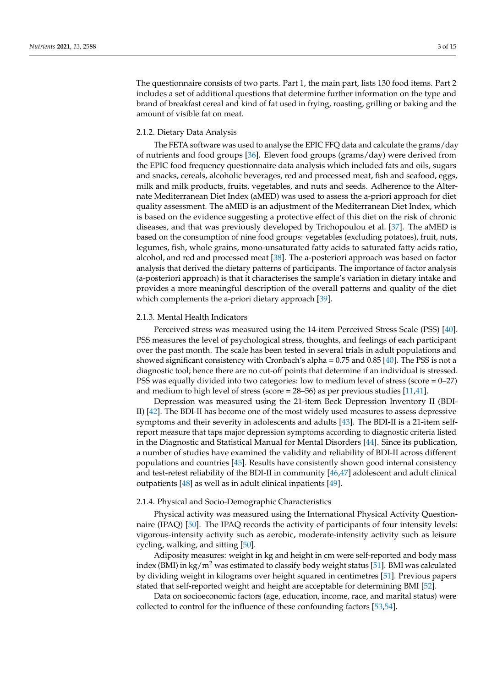The questionnaire consists of two parts. Part 1, the main part, lists 130 food items. Part 2 includes a set of additional questions that determine further information on the type and brand of breakfast cereal and kind of fat used in frying, roasting, grilling or baking and the amount of visible fat on meat.

## 2.1.2. Dietary Data Analysis

The FETA software was used to analyse the EPIC FFQ data and calculate the grams/day of nutrients and food groups [\[36\]](#page-13-8). Eleven food groups (grams/day) were derived from the EPIC food frequency questionnaire data analysis which included fats and oils, sugars and snacks, cereals, alcoholic beverages, red and processed meat, fish and seafood, eggs, milk and milk products, fruits, vegetables, and nuts and seeds. Adherence to the Alternate Mediterranean Diet Index (aMED) was used to assess the a-priori approach for diet quality assessment. The aMED is an adjustment of the Mediterranean Diet Index, which is based on the evidence suggesting a protective effect of this diet on the risk of chronic diseases, and that was previously developed by Trichopoulou et al. [\[37\]](#page-13-9). The aMED is based on the consumption of nine food groups: vegetables (excluding potatoes), fruit, nuts, legumes, fish, whole grains, mono-unsaturated fatty acids to saturated fatty acids ratio, alcohol, and red and processed meat [\[38\]](#page-13-10). The a-posteriori approach was based on factor analysis that derived the dietary patterns of participants. The importance of factor analysis (a-posteriori approach) is that it characterises the sample's variation in dietary intake and provides a more meaningful description of the overall patterns and quality of the diet which complements the a-priori dietary approach [\[39\]](#page-13-11).

# 2.1.3. Mental Health Indicators

Perceived stress was measured using the 14-item Perceived Stress Scale (PSS) [\[40\]](#page-13-12). PSS measures the level of psychological stress, thoughts, and feelings of each participant over the past month. The scale has been tested in several trials in adult populations and showed significant consistency with Cronbach's alpha = 0.75 and 0.85 [\[40\]](#page-13-12). The PSS is not a diagnostic tool; hence there are no cut-off points that determine if an individual is stressed. PSS was equally divided into two categories: low to medium level of stress (score  $= 0-27$ ) and medium to high level of stress (score =  $28-56$ ) as per previous studies [\[11](#page-12-5)[,41\]](#page-13-13).

Depression was measured using the 21-item Beck Depression Inventory II (BDI-II) [\[42\]](#page-13-14). The BDI-II has become one of the most widely used measures to assess depressive symptoms and their severity in adolescents and adults [\[43\]](#page-13-15). The BDI-II is a 21-item selfreport measure that taps major depression symptoms according to diagnostic criteria listed in the Diagnostic and Statistical Manual for Mental Disorders [\[44\]](#page-13-16). Since its publication, a number of studies have examined the validity and reliability of BDI-II across different populations and countries [\[45\]](#page-13-17). Results have consistently shown good internal consistency and test-retest reliability of the BDI-II in community [\[46,](#page-13-18)[47\]](#page-13-19) adolescent and adult clinical outpatients [\[48\]](#page-13-20) as well as in adult clinical inpatients [\[49\]](#page-13-21).

## 2.1.4. Physical and Socio-Demographic Characteristics

Physical activity was measured using the International Physical Activity Questionnaire (IPAQ) [\[50\]](#page-13-22). The IPAQ records the activity of participants of four intensity levels: vigorous-intensity activity such as aerobic, moderate-intensity activity such as leisure cycling, walking, and sitting [\[50\]](#page-13-22).

Adiposity measures: weight in kg and height in cm were self-reported and body mass index (BMI) in kg/m<sup>2</sup> was estimated to classify body weight status [\[51\]](#page-13-23). BMI was calculated by dividing weight in kilograms over height squared in centimetres [\[51\]](#page-13-23). Previous papers stated that self-reported weight and height are acceptable for determining BMI [\[52\]](#page-14-0).

Data on socioeconomic factors (age, education, income, race, and marital status) were collected to control for the influence of these confounding factors [\[53](#page-14-1)[,54\]](#page-14-2).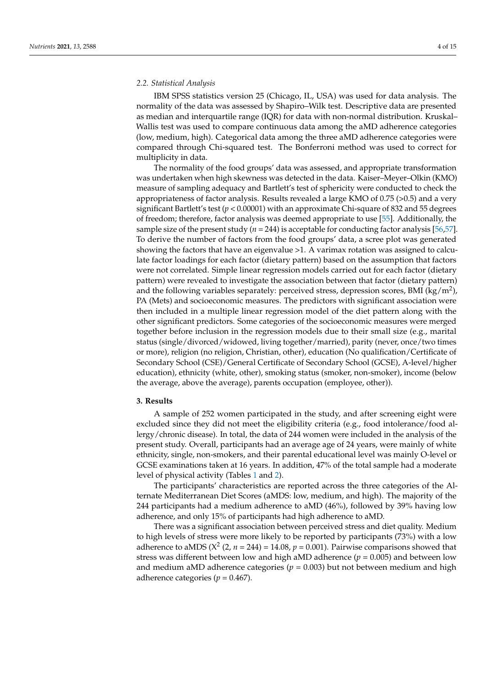# *2.2. Statistical Analysis*

IBM SPSS statistics version 25 (Chicago, IL, USA) was used for data analysis. The normality of the data was assessed by Shapiro–Wilk test. Descriptive data are presented as median and interquartile range (IQR) for data with non-normal distribution. Kruskal– Wallis test was used to compare continuous data among the aMD adherence categories (low, medium, high). Categorical data among the three aMD adherence categories were compared through Chi-squared test. The Bonferroni method was used to correct for multiplicity in data.

The normality of the food groups' data was assessed, and appropriate transformation was undertaken when high skewness was detected in the data. Kaiser–Meyer–Olkin (KMO) measure of sampling adequacy and Bartlett's test of sphericity were conducted to check the appropriateness of factor analysis. Results revealed a large KMO of  $0.75$  ( $>0.5$ ) and a very significant Bartlett's test (*p* < 0.00001) with an approximate Chi-square of 832 and 55 degrees of freedom; therefore, factor analysis was deemed appropriate to use [\[55\]](#page-14-3). Additionally, the sample size of the present study ( $n = 244$ ) is acceptable for conducting factor analysis [\[56](#page-14-4)[,57\]](#page-14-5). To derive the number of factors from the food groups' data, a scree plot was generated showing the factors that have an eigenvalue >1. A varimax rotation was assigned to calculate factor loadings for each factor (dietary pattern) based on the assumption that factors were not correlated. Simple linear regression models carried out for each factor (dietary pattern) were revealed to investigate the association between that factor (dietary pattern) and the following variables separately: perceived stress, depression scores, BMI (kg/m<sup>2</sup>), PA (Mets) and socioeconomic measures. The predictors with significant association were then included in a multiple linear regression model of the diet pattern along with the other significant predictors. Some categories of the socioeconomic measures were merged together before inclusion in the regression models due to their small size (e.g., marital status (single/divorced/widowed, living together/married), parity (never, once/two times or more), religion (no religion, Christian, other), education (No qualification/Certificate of Secondary School (CSE)/General Certificate of Secondary School (GCSE), A-level/higher education), ethnicity (white, other), smoking status (smoker, non-smoker), income (below the average, above the average), parents occupation (employee, other)).

#### **3. Results**

A sample of 252 women participated in the study, and after screening eight were excluded since they did not meet the eligibility criteria (e.g., food intolerance/food allergy/chronic disease). In total, the data of 244 women were included in the analysis of the present study. Overall, participants had an average age of 24 years, were mainly of white ethnicity, single, non-smokers, and their parental educational level was mainly O-level or GCSE examinations taken at 16 years. In addition, 47% of the total sample had a moderate level of physical activity (Tables [1](#page-4-0) and [2\)](#page-5-0).

The participants' characteristics are reported across the three categories of the Alternate Mediterranean Diet Scores (aMDS: low, medium, and high). The majority of the 244 participants had a medium adherence to aMD (46%), followed by 39% having low adherence, and only 15% of participants had high adherence to aMD.

There was a significant association between perceived stress and diet quality. Medium to high levels of stress were more likely to be reported by participants (73%) with a low adherence to aMDS ( $X^2$  (2,  $n = 244$ ) = 14.08,  $p = 0.001$ ). Pairwise comparisons showed that stress was different between low and high aMD adherence ( $p = 0.005$ ) and between low and medium aMD adherence categories  $(p = 0.003)$  but not between medium and high adherence categories ( $p = 0.467$ ).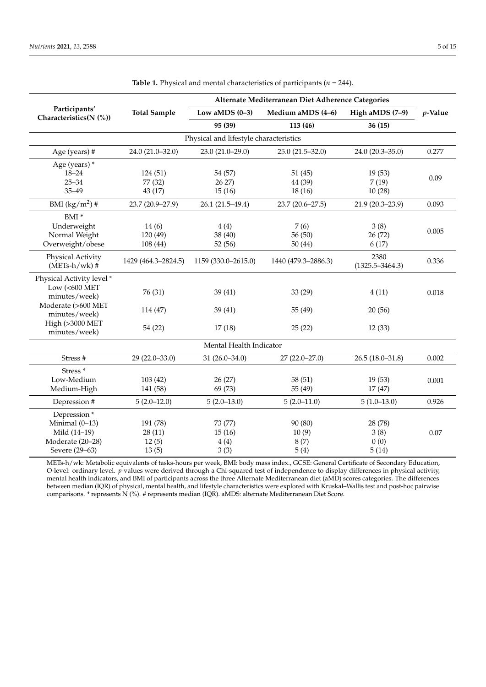<span id="page-4-0"></span>

|                                         |                     | Alternate Mediterranean Diet Adherence Categories |                     |                     |            |  |
|-----------------------------------------|---------------------|---------------------------------------------------|---------------------|---------------------|------------|--|
| Participants'<br>Characteristics(N (%)) | <b>Total Sample</b> | Low aMDS $(0-3)$                                  | Medium aMDS (4-6)   | High aMDS (7-9)     | $p$ -Value |  |
|                                         |                     | 95 (39)                                           | 113 (46)            | 36 (15)             |            |  |
| Physical and lifestyle characteristics  |                     |                                                   |                     |                     |            |  |
| Age (years) #                           | 24.0 (21.0-32.0)    | $23.0(21.0-29.0)$                                 | $25.0(21.5 - 32.0)$ | 24.0 (20.3-35.0)    | 0.277      |  |
| Age (years) *                           |                     |                                                   |                     |                     |            |  |
| $18 - 24$                               | 124(51)             | 54 (57)                                           | 51(45)              | 19(53)              |            |  |
| $25 - 34$                               | 77 (32)             | 26 27                                             | 44 (39)             | 7(19)               | 0.09       |  |
| $35 - 49$                               | 43 (17)             | 15(16)                                            | 18 (16)             | 10(28)              |            |  |
| BMI $(kg/m^2)$ #                        | 23.7 (20.9-27.9)    | $26.1(21.5-49.4)$                                 | 23.7 (20.6-27.5)    | 21.9 (20.3-23.9)    | 0.093      |  |
| BMI <sup>*</sup>                        |                     |                                                   |                     |                     |            |  |
| Underweight                             | 14(6)               | 4(4)                                              | 7(6)                | 3(8)                |            |  |
| Normal Weight                           | 120 (49)            | 38 (40)                                           | 56 (50)             | 26 (72)             | 0.005      |  |
| Overweight/obese                        | 108(44)             | 52(56)                                            | 50(44)              | 6(17)               |            |  |
| Physical Activity                       |                     |                                                   |                     | 2380                |            |  |
| $(METs-h/wk)$ #                         | 1429 (464.3–2824.5) | 1159 (330.0-2615.0)                               | 1440 (479.3-2886.3) | $(1325.5 - 3464.3)$ | 0.336      |  |
| Physical Activity level *               |                     |                                                   |                     |                     |            |  |
| Low $(<\!600$ MET                       |                     |                                                   |                     |                     |            |  |
| minutes/week)                           | 76 (31)             | 39(41)                                            | 33(29)              | 4(11)               | 0.018      |  |
| Moderate (>600 MET                      |                     |                                                   |                     |                     |            |  |
| minutes/week)                           | 114 (47)            | 39(41)                                            | 55 (49)             | 20(56)              |            |  |
| High (>3000 MET                         |                     |                                                   |                     |                     |            |  |
| minutes/week)                           | 54 (22)             | 17(18)                                            | 25(22)              | 12(33)              |            |  |
| Mental Health Indicator                 |                     |                                                   |                     |                     |            |  |
| Stress #                                | $29(22.0-33.0)$     | $31(26.0 - 34.0)$                                 | $27(22.0-27.0)$     | $26.5(18.0-31.8)$   | 0.002      |  |
| Stress <sup>*</sup>                     |                     |                                                   |                     |                     |            |  |
| Low-Medium                              | 103(42)             | 26(27)                                            | 58 (51)             | 19(53)              | 0.001      |  |
| Medium-High                             | 141 (58)            | 69 (73)                                           | 55 (49)             | 17(47)              |            |  |
| Depression #                            | $5(2.0-12.0)$       | $5(2.0-13.0)$                                     | $5(2.0-11.0)$       | $5(1.0-13.0)$       | 0.926      |  |
|                                         |                     |                                                   |                     |                     |            |  |
| Depression*                             |                     |                                                   |                     |                     |            |  |
| Minimal $(0-13)$                        | 191 (78)            | 73 (77)                                           | 90 (80)             | 28 (78)             |            |  |
| Mild (14-19)                            | 28(11)              | 15(16)                                            | 10(9)               | 3(8)                | 0.07       |  |
| Moderate (20-28)                        | 12(5)               | 4(4)                                              | 8(7)                | 0(0)                |            |  |
| Severe (29-63)                          | 13(5)               | 3(3)                                              | 5(4)                | 5(14)               |            |  |

**Table 1.** Physical and mental characteristics of participants (*n* = 244).

METs-h/wk: Metabolic equivalents of tasks-hours per week, BMI: body mass index., GCSE: General Certificate of Secondary Education, O-level: ordinary level. *p*-values were derived through a Chi-squared test of independence to display differences in physical activity, mental health indicators, and BMI of participants across the three Alternate Mediterranean diet (aMD) scores categories. The differences between median (IQR) of physical, mental health, and lifestyle characteristics were explored with Kruskal–Wallis test and post-hoc pairwise comparisons. \* represents N (%). # represents median (IQR). aMDS: alternate Mediterranean Diet Score.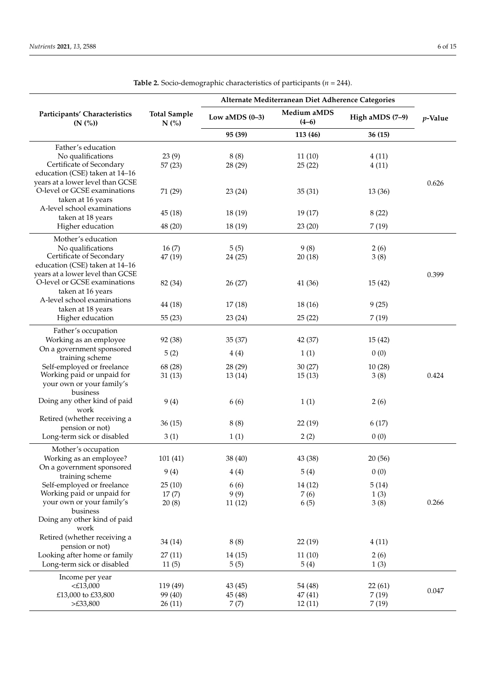<span id="page-5-0"></span>

|                                                                    |                                | Alternate Mediterranean Diet Adherence Categories |                        |                 |            |
|--------------------------------------------------------------------|--------------------------------|---------------------------------------------------|------------------------|-----------------|------------|
| Participants' Characteristics<br>(N (%))                           | <b>Total Sample</b><br>$N$ (%) | Low aMDS $(0-3)$                                  | Medium aMDS<br>$(4-6)$ | High aMDS (7-9) | $p$ -Value |
|                                                                    |                                | 95 (39)                                           | 113 (46)               | 36 (15)         |            |
| Father's education                                                 |                                |                                                   |                        |                 |            |
| No qualifications                                                  | 23(9)                          | 8(8)                                              | 11(10)                 | 4(11)           |            |
| Certificate of Secondary                                           | 57(23)                         | 28 (29)                                           | 25(22)                 | 4(11)           |            |
| education (CSE) taken at 14-16<br>years at a lower level than GCSE |                                |                                                   |                        |                 | 0.626      |
| O-level or GCSE examinations                                       | 71 (29)                        | 23 (24)                                           | 35(31)                 | 13(36)          |            |
| taken at 16 years                                                  |                                |                                                   |                        |                 |            |
| A-level school examinations                                        | 45(18)                         | 18 (19)                                           | 19(17)                 | 8(22)           |            |
| taken at 18 years                                                  |                                |                                                   |                        |                 |            |
| Higher education                                                   | 48 (20)                        | 18 (19)                                           | 23(20)                 | 7(19)           |            |
| Mother's education                                                 |                                |                                                   |                        |                 |            |
| No qualifications                                                  | 16(7)                          | 5(5)                                              | 9(8)                   | 2(6)            |            |
| Certificate of Secondary<br>education (CSE) taken at 14-16         | 47(19)                         | 24 (25)                                           | 20(18)                 | 3(8)            |            |
| years at a lower level than GCSE                                   |                                |                                                   |                        |                 | 0.399      |
| O-level or GCSE examinations                                       | 82 (34)                        | 26 (27)                                           | 41 (36)                | 15(42)          |            |
| taken at 16 years                                                  |                                |                                                   |                        |                 |            |
| A-level school examinations                                        | 44 (18)                        | 17(18)                                            | 18 (16)                | 9(25)           |            |
| taken at 18 years<br>Higher education                              | 55(23)                         | 23 (24)                                           | 25(22)                 | 7(19)           |            |
|                                                                    |                                |                                                   |                        |                 |            |
| Father's occupation<br>Working as an employee                      | 92 (38)                        | 35(37)                                            | 42 (37)                | 15(42)          |            |
| On a government sponsored                                          |                                |                                                   |                        |                 |            |
| training scheme                                                    | 5(2)                           | 4(4)                                              | 1(1)                   | 0(0)            |            |
| Self-employed or freelance                                         | 68 (28)                        | 28 (29)                                           | 30(27)                 | 10(28)          |            |
| Working paid or unpaid for                                         | 31(13)                         | 13 (14)                                           | 15(13)                 | 3(8)            | 0.424      |
| your own or your family's<br>business                              |                                |                                                   |                        |                 |            |
| Doing any other kind of paid                                       | 9(4)                           | 6(6)                                              | 1(1)                   | 2(6)            |            |
| work                                                               |                                |                                                   |                        |                 |            |
| Retired (whether receiving a                                       | 36(15)                         | 8(8)                                              | 22(19)                 | 6(17)           |            |
| pension or not)                                                    |                                |                                                   |                        |                 |            |
| Long-term sick or disabled                                         | 3(1)                           | 1(1)                                              | 2(2)                   | 0(0)            |            |
| Mother's occupation                                                |                                |                                                   |                        |                 |            |
| Working as an employee?<br>On a government sponsored               | 101(41)                        | 38 (40)                                           | 43 (38)                | 20 (56)         |            |
| training scheme                                                    | 9(4)                           | 4(4)                                              | 5(4)                   | 0(0)            |            |
| Self-employed or freelance                                         | 25(10)                         | 6(6)                                              | 14(12)                 | 5(14)           |            |
| Working paid or unpaid for                                         | 17(7)                          | 9(9)                                              | 7(6)                   | 1(3)            |            |
| your own or your family's                                          | 20(8)                          | 11(12)                                            | 6(5)                   | 3(8)            | 0.266      |
| business<br>Doing any other kind of paid                           |                                |                                                   |                        |                 |            |
| work                                                               |                                |                                                   |                        |                 |            |
| Retired (whether receiving a                                       |                                |                                                   |                        |                 |            |
| pension or not)                                                    | 34 (14)                        | 8(8)                                              | 22 (19)                | 4(11)           |            |
| Looking after home or family                                       | 27(11)                         | 14 (15)                                           | 11(10)                 | 2(6)            |            |
| Long-term sick or disabled                                         | 11(5)                          | 5(5)                                              | 5(4)                   | 1(3)            |            |
| Income per year                                                    |                                |                                                   |                        |                 |            |
| $\leq$ £13,000<br>£13,000 to £33,800                               | 119 (49)<br>99 (40)            | 43 (45)<br>45 (48)                                | 54 (48)<br>47 (41)     | 22(61)<br>7(19) | 0.047      |
| >E33,800                                                           | 26(11)                         | 7(7)                                              | 12(11)                 | 7(19)           |            |
|                                                                    |                                |                                                   |                        |                 |            |

**Table 2.** Socio-demographic characteristics of participants (*n* = 244).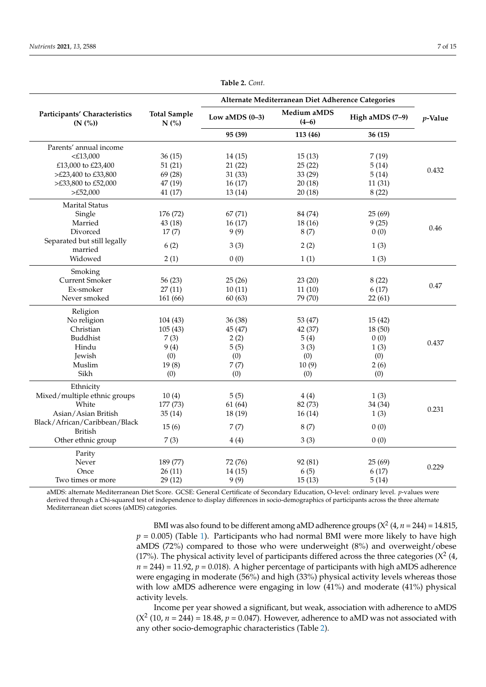|                                                 |                             | Alternate Mediterranean Diet Adherence Categories |                        |                   |            |
|-------------------------------------------------|-----------------------------|---------------------------------------------------|------------------------|-------------------|------------|
| Participants' Characteristics<br>(N (%))        | <b>Total Sample</b><br>N(%) | Low aMDS $(0-3)$                                  | Medium aMDS<br>$(4-6)$ | High aMDS $(7-9)$ | $p$ -Value |
|                                                 |                             | 95 (39)                                           | 113 (46)               | 36(15)            |            |
| Parents' annual income                          |                             |                                                   |                        |                   |            |
| $<$ £13,000                                     | 36(15)                      | 14(15)                                            | 15(13)                 | 7(19)             |            |
| £13,000 to £23,400                              | 51(21)                      | 21(22)                                            | 25(22)                 | 5(14)             |            |
| >£23,400 to £33,800                             | 69 (28)                     | 31(33)                                            | 33 (29)                | 5(14)             | 0.432      |
| >£33,800 to £52,000                             | 47 (19)                     | 16(17)                                            | 20(18)                 | 11(31)            |            |
| >E52,000                                        | 41 (17)                     | 13(14)                                            | 20(18)                 | 8(22)             |            |
| <b>Marital Status</b>                           |                             |                                                   |                        |                   |            |
| Single                                          | 176 (72)                    | 67(71)                                            | 84 (74)                | 25(69)            |            |
| Married                                         | 43 (18)                     | 16(17)                                            | 18(16)                 | 9(25)             |            |
| Divorced                                        | 17(7)                       | 9(9)                                              | 8(7)                   | 0(0)              | 0.46       |
| Separated but still legally<br>married          | 6(2)                        | 3(3)                                              | 2(2)                   | 1(3)              |            |
| Widowed                                         | 2(1)                        | 0(0)                                              | 1(1)                   | 1(3)              |            |
| Smoking                                         |                             |                                                   |                        |                   |            |
| <b>Current Smoker</b>                           | 56(23)                      | 25(26)                                            | 23(20)                 | 8(22)             |            |
| Ex-smoker                                       | 27(11)                      | 10(11)                                            | 11(10)                 | 6(17)             | 0.47       |
| Never smoked                                    | 161 (66)                    | 60(63)                                            | 79 (70)                | 22(61)            |            |
| Religion                                        |                             |                                                   |                        |                   |            |
| No religion                                     | 104(43)                     | 36 (38)                                           | 53 (47)                | 15(42)            |            |
| Christian                                       | 105(43)                     | 45 (47)                                           | 42 (37)                | 18 (50)           |            |
| Buddhist                                        | 7(3)                        | 2(2)                                              | 5(4)                   | 0(0)              |            |
| Hindu                                           | 9(4)                        | 5(5)                                              | 3(3)                   | 1(3)              | 0.437      |
| Jewish                                          | (0)                         | (0)                                               | (0)                    | (0)               |            |
| Muslim                                          | 19(8)                       | 7(7)                                              | 10(9)                  | 2(6)              |            |
| Sikh                                            | (0)                         | (0)                                               | (0)                    | (0)               |            |
| Ethnicity                                       |                             |                                                   |                        |                   |            |
| Mixed/multiple ethnic groups                    | 10(4)                       | 5(5)                                              | 4(4)                   | 1(3)              |            |
| White                                           | 177 (73)                    | 61 (64)                                           | 82 (73)                | 34 (34)           |            |
| Asian/Asian British                             | 35(14)                      | 18 (19)                                           | 16(14)                 | 1(3)              | 0.231      |
| Black/African/Caribbean/Black<br><b>British</b> | 15(6)                       | 7(7)                                              | 8(7)                   | 0(0)              |            |
| Other ethnic group                              | 7(3)                        | 4(4)                                              | 3(3)                   | 0(0)              |            |
| Parity                                          |                             |                                                   |                        |                   |            |
| Never                                           | 189 (77)                    | 72 (76)                                           | 92 (81)                | 25(69)            |            |
| Once                                            | 26(11)                      | 14(15)                                            | 6(5)                   | 6(17)             | 0.229      |
| Two times or more                               | 29(12)                      | 9(9)                                              | 15(13)                 | 5(14)             |            |

**Table 2.** *Cont.*

aMDS: alternate Mediterranean Diet Score. GCSE: General Certificate of Secondary Education, O-level: ordinary level. *p*-values were derived through a Chi-squared test of independence to display differences in socio-demographics of participants across the three alternate Mediterranean diet scores (aMDS) categories.

> BMI was also found to be different among aMD adherence groups  $(X^2 (4, n = 244) = 14.815)$  $p = 0.005$ ) (Table [1\)](#page-4-0). Participants who had normal BMI were more likely to have high aMDS (72%) compared to those who were underweight (8%) and overweight/obese (17%). The physical activity level of participants differed across the three categories ( $X^2$  (4,  $n = 244$ ) = 11.92,  $p = 0.018$ ). A higher percentage of participants with high aMDS adherence were engaging in moderate (56%) and high (33%) physical activity levels whereas those with low aMDS adherence were engaging in low (41%) and moderate (41%) physical activity levels.

> Income per year showed a significant, but weak, association with adherence to aMDS  $(X<sup>2</sup> (10, n = 244) = 18.48, p = 0.047)$ . However, adherence to aMD was not associated with any other socio-demographic characteristics (Table [2\)](#page-5-0).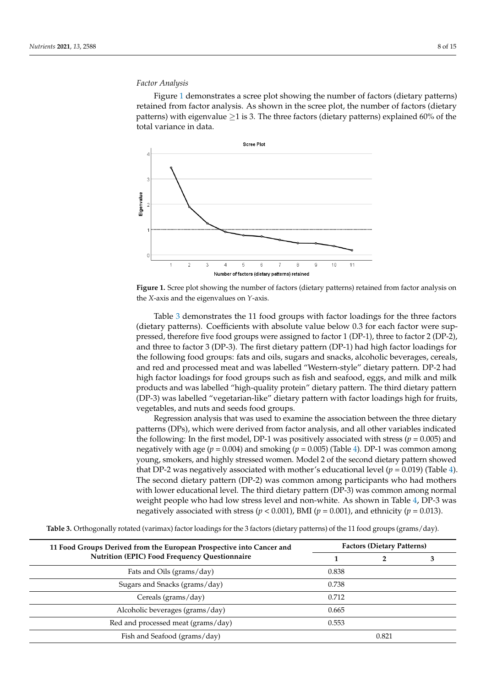# *Factor Analysis Factor Analysis*

Figure [1](#page-7-0) demonstrates a scree plot showing the number of factors (dietary patterns) Figure 1 demonstrates a scree plot showing the number of factors (dietary patterns) retained from factor analysis. As shown in the scree plot, the number of factors (dietary patterns) with eigenvalue  $\geq$ 1 is 3. The three factors (dietary patterns) explained 60% of the total variance in data. total variance in data.

<span id="page-7-0"></span>



Table [3](#page-7-1) demonstrates the 11 food groups with factor loadings for the three factors (dietary patterns). Coefficients with absolute value below 0.3 for each factor were suppressed, therefore five food groups were assigned to factor 1 (DP-1), three to factor 2 (DP-2), and three to factor 3 (DP-3). The first dietary pattern (DP-1) had high factor loadings for the following food groups: fats and oils, sugars and snacks, alcoholic beverages, cereals, and red and processed meat and was labelled "Western-style" dietary pattern. DP-2 had high factor loadings for food groups such as fish and seafood, eggs, and milk and milk products and was labelled "high-quality protein" dietary pattern. The third dietary pattern (DP-3) was labelled "vegetarian-like" dietary pattern with factor loadings high for fruits, vegetables, and nuts and seeds food groups.

Regression analysis that was used to examine the association between the three dietary patterns (DPs), which were derived from factor analysis, and all other variables indicated the following: In the first model, DP-1 was positively associated with stress ( $p = 0.005$ ) and negatively with age (*p* = 0.004) and smoking (*p* = 0.005) (Table [4\)](#page-8-0). DP-1 was common among young, smokers, and highly stressed women. Model 2 of the second dietary pattern showed that DP-2 was negatively associated with mother's educational level  $(p = 0.019)$  (Table [4\)](#page-8-0). The second dietary pattern (DP-2) was common among participants who had mothers with lower educational level. The third dietary pattern (DP-3) was common among normal weight people who had low stress level and non-white. As shown in Table [4,](#page-8-0) DP-3 was negatively associated with stress ( $p < 0.001$ ), BMI ( $p = 0.001$ ), and ethnicity ( $p = 0.013$ ).

**11 Food Groups Derived from the European Prospective into Cancer and Nutrition (EPIC) Food Frequency Questionnaire Factors (Dietary Patterns) 1 2 3** Fats and Oils (grams/day) 0.838 Sugars and Snacks (grams/day) 0.738 Cereals (grams/day) 0.712 Alcoholic beverages (grams/day) 0.665 Red and processed meat (grams/day) 0.553 Fish and Seafood (grams/day) 0.821

<span id="page-7-1"></span>**Table 3.** Orthogonally rotated (varimax) factor loadings for the 3 factors (dietary patterns) of the 11 food groups (grams/day).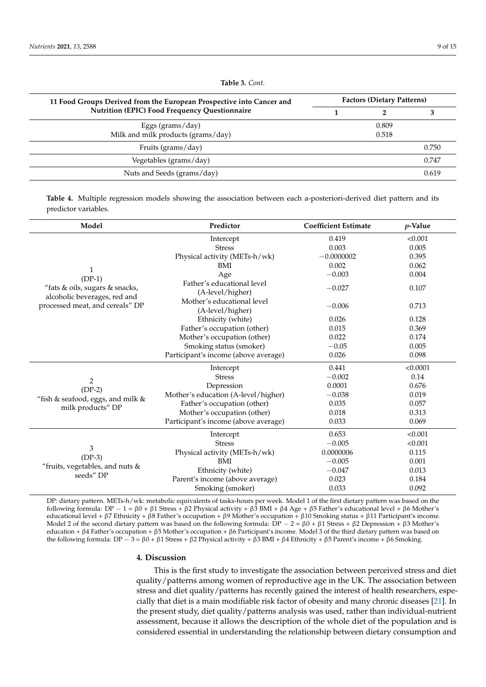| 11 Food Groups Derived from the European Prospective into Cancer and | <b>Factors (Dietary Patterns)</b> |       |       |
|----------------------------------------------------------------------|-----------------------------------|-------|-------|
| <b>Nutrition (EPIC) Food Frequency Questionnaire</b>                 |                                   |       |       |
| Eggs (grams/day)                                                     |                                   | 0.809 |       |
| Milk and milk products (grams/day)                                   |                                   | 0.518 |       |
| Fruits (grams/day)                                                   |                                   |       | 0.750 |
| Vegetables (grams/day)                                               |                                   |       | 0.747 |
| Nuts and Seeds (grams/day)                                           |                                   |       | 0.619 |

**Table 3.** *Cont.*

<span id="page-8-0"></span>**Table 4.** Multiple regression models showing the association between each a-posteriori-derived diet pattern and its predictor variables.

| Model                                                           | Predictor                                      | <b>Coefficient Estimate</b> | $p$ -Value |
|-----------------------------------------------------------------|------------------------------------------------|-----------------------------|------------|
|                                                                 | Intercept                                      | 0.419                       | < 0.001    |
|                                                                 | <b>Stress</b>                                  | 0.003                       | 0.005      |
|                                                                 | Physical activity (METs-h/wk)                  | $-0.0000002$                | 0.395      |
| $\mathbf{1}$                                                    | BMI                                            | 0.002                       | 0.062      |
| $(DP-1)$                                                        | Age                                            | $-0.003$                    | 0.004      |
| "fats & oils, sugars & snacks,                                  | Father's educational level<br>(A-level/higher) | $-0.027$                    | 0.107      |
| alcoholic beverages, red and<br>processed meat, and cereals" DP | Mother's educational level<br>(A-level/higher) | $-0.006$                    | 0.713      |
|                                                                 | Ethnicity (white)                              | 0.026                       | 0.128      |
|                                                                 | Father's occupation (other)                    | 0.015                       | 0.369      |
|                                                                 | Mother's occupation (other)                    | 0.022                       | 0.174      |
|                                                                 | Smoking status (smoker)                        | $-0.05$                     | 0.005      |
|                                                                 | Participant's income (above average)           | 0.026                       | 0.098      |
|                                                                 | Intercept                                      | 0.441                       | < 0.0001   |
| $\overline{2}$                                                  | <b>Stress</b>                                  | $-0.002$                    | 0.14       |
| $(DP-2)$                                                        | Depression                                     | 0.0001                      | 0.676      |
| "fish & seafood, eggs, and milk &                               | Mother's education (A-level/higher)            | $-0.038$                    | 0.019      |
| milk products" DP                                               | Father's occupation (other)                    | 0.035                       | 0.057      |
|                                                                 | Mother's occupation (other)                    | 0.018                       | 0.313      |
|                                                                 | Participant's income (above average)           | 0.033                       | 0.069      |
|                                                                 | Intercept                                      | 0.653                       | < 0.001    |
|                                                                 | <b>Stress</b>                                  | $-0.005$                    | < 0.001    |
| 3                                                               | Physical activity (METs-h/wk)                  | 0.0000006                   | 0.115      |
| $(DP-3)$                                                        | BMI                                            | $-0.005$                    | 0.001      |
| "fruits, vegetables, and nuts $&$                               | Ethnicity (white)                              | $-0.047$                    | 0.013      |
| seeds" DP                                                       | Parent's income (above average)                | 0.023                       | 0.184      |
|                                                                 | Smoking (smoker)                               | 0.033                       | 0.092      |

DP: dietary pattern. METs-h/wk: metabolic equivalents of tasks-hours per week. Model 1 of the first dietary pattern was based on the following formula: DP − 1 = β0 + β1 Stress + β2 Physical activity + β3 BMI + β4 Age + β5 Father's educational level + β6 Mother's educational level + β7 Ethnicity + β8 Father's occupation + β9 Mother's occupation + β10 Smoking status + β11 Participant's income. Model 2 of the second dietary pattern was based on the following formula:  $DP - 2 = \beta 0 + \beta 1$  Stress + β2 Depression + β3 Mother's education + β4 Father's occupation + β5 Mother's occupation + β6 Participant's income. Model 3 of the third dietary pattern was based on the following formula: DP  $-$  3 = β0 + β1 Stress + β2 Physical activity + β3 BMI + β4 Ethnicity + β5 Parent's income + β6 Smoking.

## **4. Discussion**

This is the first study to investigate the association between perceived stress and diet quality/patterns among women of reproductive age in the UK. The association between stress and diet quality/patterns has recently gained the interest of health researchers, especially that diet is a main modifiable risk factor of obesity and many chronic diseases [\[21\]](#page-12-19). In the present study, diet quality/patterns analysis was used, rather than individual-nutrient assessment, because it allows the description of the whole diet of the population and is considered essential in understanding the relationship between dietary consumption and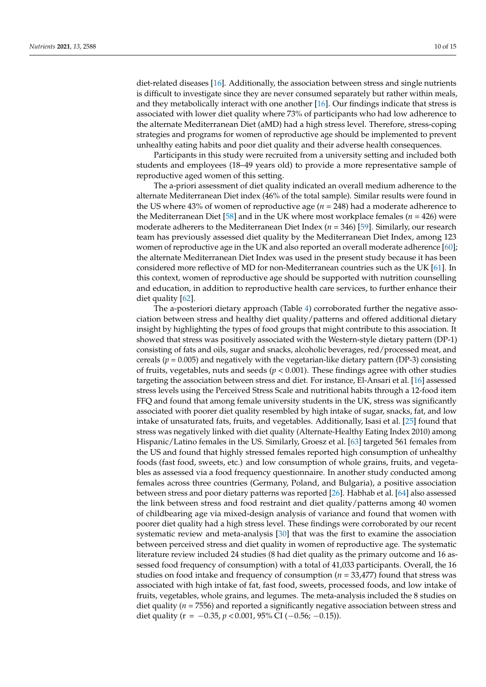diet-related diseases [\[16\]](#page-12-8). Additionally, the association between stress and single nutrients is difficult to investigate since they are never consumed separately but rather within meals, and they metabolically interact with one another [\[16\]](#page-12-8). Our findings indicate that stress is associated with lower diet quality where 73% of participants who had low adherence to the alternate Mediterranean Diet (aMD) had a high stress level. Therefore, stress-coping strategies and programs for women of reproductive age should be implemented to prevent unhealthy eating habits and poor diet quality and their adverse health consequences.

Participants in this study were recruited from a university setting and included both students and employees (18–49 years old) to provide a more representative sample of reproductive aged women of this setting.

The a-priori assessment of diet quality indicated an overall medium adherence to the alternate Mediterranean Diet index (46% of the total sample). Similar results were found in the US where 43% of women of reproductive age (*n* = 248) had a moderate adherence to the Mediterranean Diet [\[58\]](#page-14-6) and in the UK where most workplace females ( $n = 426$ ) were moderate adherers to the Mediterranean Diet Index (*n* = 346) [\[59\]](#page-14-7). Similarly, our research team has previously assessed diet quality by the Mediterranean Diet Index, among 123 women of reproductive age in the UK and also reported an overall moderate adherence [\[60\]](#page-14-8); the alternate Mediterranean Diet Index was used in the present study because it has been considered more reflective of MD for non-Mediterranean countries such as the UK [\[61\]](#page-14-9). In this context, women of reproductive age should be supported with nutrition counselling and education, in addition to reproductive health care services, to further enhance their diet quality [\[62\]](#page-14-10).

The a-posteriori dietary approach (Table [4\)](#page-8-0) corroborated further the negative association between stress and healthy diet quality/patterns and offered additional dietary insight by highlighting the types of food groups that might contribute to this association. It showed that stress was positively associated with the Western-style dietary pattern (DP-1) consisting of fats and oils, sugar and snacks, alcoholic beverages, red/processed meat, and cereals ( $p = 0.005$ ) and negatively with the vegetarian-like dietary pattern (DP-3) consisting of fruits, vegetables, nuts and seeds ( $p < 0.001$ ). These findings agree with other studies targeting the association between stress and diet. For instance, El-Ansari et al. [\[16\]](#page-12-8) assessed stress levels using the Perceived Stress Scale and nutritional habits through a 12-food item FFQ and found that among female university students in the UK, stress was significantly associated with poorer diet quality resembled by high intake of sugar, snacks, fat, and low intake of unsaturated fats, fruits, and vegetables. Additionally, Isasi et al. [\[25\]](#page-12-14) found that stress was negatively linked with diet quality (Alternate-Healthy Eating Index 2010) among Hispanic/Latino females in the US. Similarly, Groesz et al. [\[63\]](#page-14-11) targeted 561 females from the US and found that highly stressed females reported high consumption of unhealthy foods (fast food, sweets, etc.) and low consumption of whole grains, fruits, and vegetables as assessed via a food frequency questionnaire. In another study conducted among females across three countries (Germany, Poland, and Bulgaria), a positive association between stress and poor dietary patterns was reported [\[26\]](#page-12-17). Habhab et al. [\[64\]](#page-14-12) also assessed the link between stress and food restraint and diet quality/patterns among 40 women of childbearing age via mixed-design analysis of variance and found that women with poorer diet quality had a high stress level. These findings were corroborated by our recent systematic review and meta-analysis [\[30\]](#page-13-2) that was the first to examine the association between perceived stress and diet quality in women of reproductive age. The systematic literature review included 24 studies (8 had diet quality as the primary outcome and 16 assessed food frequency of consumption) with a total of 41,033 participants. Overall, the 16 studies on food intake and frequency of consumption (*n* = 33,477) found that stress was associated with high intake of fat, fast food, sweets, processed foods, and low intake of fruits, vegetables, whole grains, and legumes. The meta-analysis included the 8 studies on diet quality (*n* = 7556) and reported a significantly negative association between stress and diet quality ( $r = -0.35$ ,  $p < 0.001$ ,  $95\%$  CI ( $-0.56$ ;  $-0.15$ )).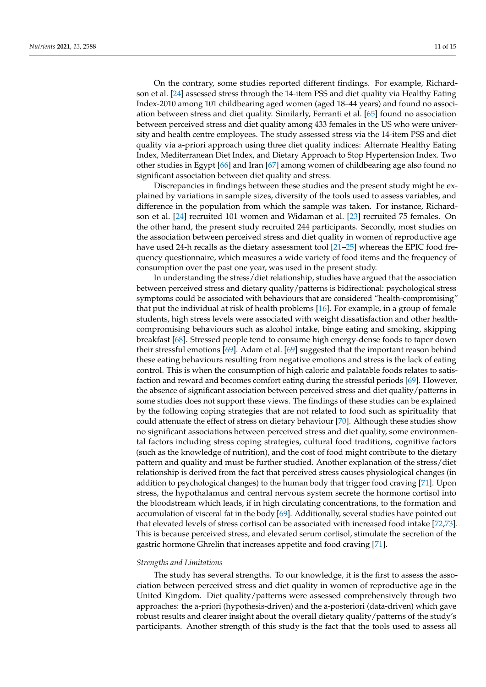On the contrary, some studies reported different findings. For example, Richardson et al. [\[24\]](#page-12-16) assessed stress through the 14-item PSS and diet quality via Healthy Eating Index-2010 among 101 childbearing aged women (aged 18–44 years) and found no association between stress and diet quality. Similarly, Ferranti et al. [\[65\]](#page-14-13) found no association between perceived stress and diet quality among 433 females in the US who were university and health centre employees. The study assessed stress via the 14-item PSS and diet quality via a-priori approach using three diet quality indices: Alternate Healthy Eating Index, Mediterranean Diet Index, and Dietary Approach to Stop Hypertension Index. Two other studies in Egypt [\[66\]](#page-14-14) and Iran [\[67\]](#page-14-15) among women of childbearing age also found no significant association between diet quality and stress.

Discrepancies in findings between these studies and the present study might be explained by variations in sample sizes, diversity of the tools used to assess variables, and difference in the population from which the sample was taken. For instance, Richardson et al. [\[24\]](#page-12-16) recruited 101 women and Widaman et al. [\[23\]](#page-12-20) recruited 75 females. On the other hand, the present study recruited 244 participants. Secondly, most studies on the association between perceived stress and diet quality in women of reproductive age have used 24-h recalls as the dietary assessment tool [\[21–](#page-12-19)[25\]](#page-12-14) whereas the EPIC food frequency questionnaire, which measures a wide variety of food items and the frequency of consumption over the past one year, was used in the present study.

In understanding the stress/diet relationship, studies have argued that the association between perceived stress and dietary quality/patterns is bidirectional: psychological stress symptoms could be associated with behaviours that are considered "health-compromising" that put the individual at risk of health problems [\[16\]](#page-12-8). For example, in a group of female students, high stress levels were associated with weight dissatisfaction and other healthcompromising behaviours such as alcohol intake, binge eating and smoking, skipping breakfast [\[68\]](#page-14-16). Stressed people tend to consume high energy-dense foods to taper down their stressful emotions [\[69\]](#page-14-17). Adam et al. [\[69\]](#page-14-17) suggested that the important reason behind these eating behaviours resulting from negative emotions and stress is the lack of eating control. This is when the consumption of high caloric and palatable foods relates to satisfaction and reward and becomes comfort eating during the stressful periods [\[69\]](#page-14-17). However, the absence of significant association between perceived stress and diet quality/patterns in some studies does not support these views. The findings of these studies can be explained by the following coping strategies that are not related to food such as spirituality that could attenuate the effect of stress on dietary behaviour [\[70\]](#page-14-18). Although these studies show no significant associations between perceived stress and diet quality, some environmental factors including stress coping strategies, cultural food traditions, cognitive factors (such as the knowledge of nutrition), and the cost of food might contribute to the dietary pattern and quality and must be further studied. Another explanation of the stress/diet relationship is derived from the fact that perceived stress causes physiological changes (in addition to psychological changes) to the human body that trigger food craving [\[71\]](#page-14-19). Upon stress, the hypothalamus and central nervous system secrete the hormone cortisol into the bloodstream which leads, if in high circulating concentrations, to the formation and accumulation of visceral fat in the body [\[69\]](#page-14-17). Additionally, several studies have pointed out that elevated levels of stress cortisol can be associated with increased food intake [\[72,](#page-14-20)[73\]](#page-14-21). This is because perceived stress, and elevated serum cortisol, stimulate the secretion of the gastric hormone Ghrelin that increases appetite and food craving [\[71\]](#page-14-19).

#### *Strengths and Limitations*

The study has several strengths. To our knowledge, it is the first to assess the association between perceived stress and diet quality in women of reproductive age in the United Kingdom. Diet quality/patterns were assessed comprehensively through two approaches: the a-priori (hypothesis-driven) and the a-posteriori (data-driven) which gave robust results and clearer insight about the overall dietary quality/patterns of the study's participants. Another strength of this study is the fact that the tools used to assess all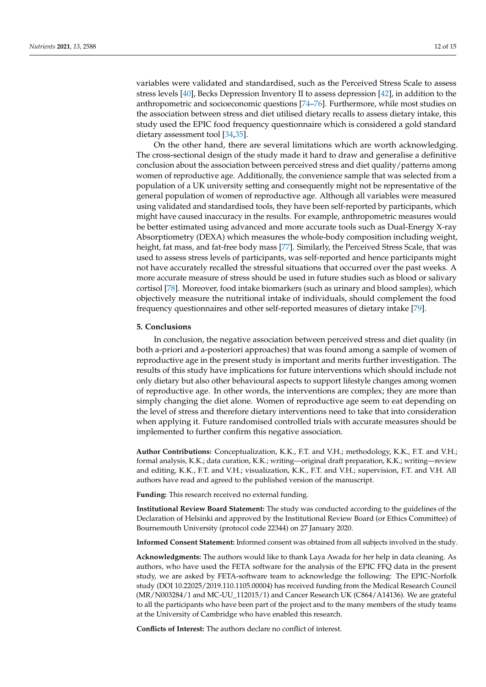variables were validated and standardised, such as the Perceived Stress Scale to assess stress levels [\[40\]](#page-13-12), Becks Depression Inventory II to assess depression [\[42\]](#page-13-14), in addition to the anthropometric and socioeconomic questions [\[74–](#page-14-22)[76\]](#page-14-23). Furthermore, while most studies on the association between stress and diet utilised dietary recalls to assess dietary intake, this study used the EPIC food frequency questionnaire which is considered a gold standard dietary assessment tool [\[34](#page-13-6)[,35\]](#page-13-7).

On the other hand, there are several limitations which are worth acknowledging. The cross-sectional design of the study made it hard to draw and generalise a definitive conclusion about the association between perceived stress and diet quality/patterns among women of reproductive age. Additionally, the convenience sample that was selected from a population of a UK university setting and consequently might not be representative of the general population of women of reproductive age. Although all variables were measured using validated and standardised tools, they have been self-reported by participants, which might have caused inaccuracy in the results. For example, anthropometric measures would be better estimated using advanced and more accurate tools such as Dual-Energy X-ray Absorptiometry (DEXA) which measures the whole-body composition including weight, height, fat mass, and fat-free body mass [\[77\]](#page-14-24). Similarly, the Perceived Stress Scale, that was used to assess stress levels of participants, was self-reported and hence participants might not have accurately recalled the stressful situations that occurred over the past weeks. A more accurate measure of stress should be used in future studies such as blood or salivary cortisol [\[78\]](#page-14-25). Moreover, food intake biomarkers (such as urinary and blood samples), which objectively measure the nutritional intake of individuals, should complement the food frequency questionnaires and other self-reported measures of dietary intake [\[79\]](#page-14-26).

# **5. Conclusions**

In conclusion, the negative association between perceived stress and diet quality (in both a-priori and a-posteriori approaches) that was found among a sample of women of reproductive age in the present study is important and merits further investigation. The results of this study have implications for future interventions which should include not only dietary but also other behavioural aspects to support lifestyle changes among women of reproductive age. In other words, the interventions are complex; they are more than simply changing the diet alone. Women of reproductive age seem to eat depending on the level of stress and therefore dietary interventions need to take that into consideration when applying it. Future randomised controlled trials with accurate measures should be implemented to further confirm this negative association.

**Author Contributions:** Conceptualization, K.K., F.T. and V.H.; methodology, K.K., F.T. and V.H.; formal analysis, K.K.; data curation, K.K.; writing—original draft preparation, K.K.; writing—review and editing, K.K., F.T. and V.H.; visualization, K.K., F.T. and V.H.; supervision, F.T. and V.H. All authors have read and agreed to the published version of the manuscript.

**Funding:** This research received no external funding.

**Institutional Review Board Statement:** The study was conducted according to the guidelines of the Declaration of Helsinki and approved by the Institutional Review Board (or Ethics Committee) of Bournemouth University (protocol code 22344) on 27 January 2020.

**Informed Consent Statement:** Informed consent was obtained from all subjects involved in the study.

**Acknowledgments:** The authors would like to thank Laya Awada for her help in data cleaning. As authors, who have used the FETA software for the analysis of the EPIC FFQ data in the present study, we are asked by FETA-software team to acknowledge the following: The EPIC-Norfolk study (DOI 10.22025/2019.110.1105.00004) has received funding from the Medical Research Council (MR/N003284/1 and MC-UU\_112015/1) and Cancer Research UK (C864/A14136). We are grateful to all the participants who have been part of the project and to the many members of the study teams at the University of Cambridge who have enabled this research.

**Conflicts of Interest:** The authors declare no conflict of interest.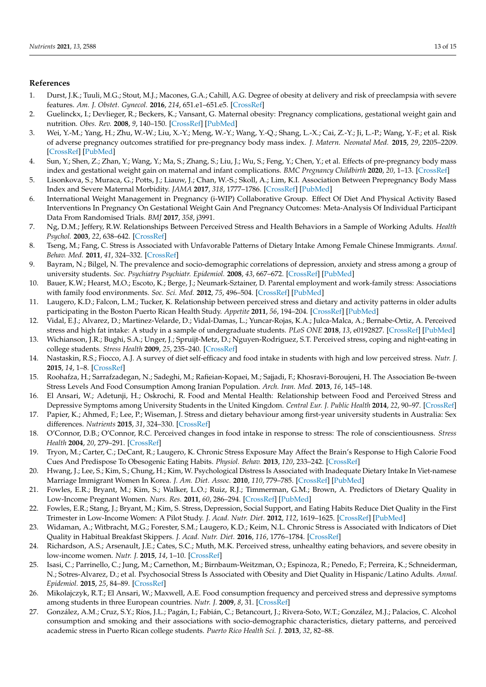# **References**

- <span id="page-12-0"></span>1. Durst, J.K.; Tuuli, M.G.; Stout, M.J.; Macones, G.A.; Cahill, A.G. Degree of obesity at delivery and risk of preeclampsia with severe features. *Am. J. Obstet. Gynecol.* **2016**, *214*, 651.e1–651.e5. [\[CrossRef\]](http://doi.org/10.1016/j.ajog.2015.11.024)
- 2. Guelinckx, I.; Devlieger, R.; Beckers, K.; Vansant, G. Maternal obesity: Pregnancy complications, gestational weight gain and nutrition. *Obes. Rev.* **2008**, *9*, 140–150. [\[CrossRef\]](http://doi.org/10.1111/j.1467-789X.2007.00464.x) [\[PubMed\]](http://www.ncbi.nlm.nih.gov/pubmed/18221480)
- 3. Wei, Y.-M.; Yang, H.; Zhu, W.-W.; Liu, X.-Y.; Meng, W.-Y.; Wang, Y.-Q.; Shang, L.-X.; Cai, Z.-Y.; Ji, L.-P.; Wang, Y.-F.; et al. Risk of adverse pregnancy outcomes stratified for pre-pregnancy body mass index. *J. Matern. Neonatal Med.* **2015**, *29*, 2205–2209. [\[CrossRef\]](http://doi.org/10.3109/14767058.2015.1081167) [\[PubMed\]](http://www.ncbi.nlm.nih.gov/pubmed/26427602)
- <span id="page-12-1"></span>4. Sun, Y.; Shen, Z.; Zhan, Y.; Wang, Y.; Ma, S.; Zhang, S.; Liu, J.; Wu, S.; Feng, Y.; Chen, Y.; et al. Effects of pre-pregnancy body mass index and gestational weight gain on maternal and infant complications. *BMC Pregnancy Childbirth* **2020**, *20*, 1–13. [\[CrossRef\]](http://doi.org/10.1186/s12884-020-03071-y)
- <span id="page-12-2"></span>5. Lisonkova, S.; Muraca, G.; Potts, J.; Liauw, J.; Chan, W.-S.; Skoll, A.; Lim, K.I. Association Between Prepregnancy Body Mass Index and Severe Maternal Morbidity. *JAMA* **2017**, *318*, 1777–1786. [\[CrossRef\]](http://doi.org/10.1001/jama.2017.16191) [\[PubMed\]](http://www.ncbi.nlm.nih.gov/pubmed/29136442)
- <span id="page-12-3"></span>6. International Weight Management in Pregnancy (i-WIP) Collaborative Group. Effect Of Diet And Physical Activity Based Interventions In Pregnancy On Gestational Weight Gain And Pregnancy Outcomes: Meta-Analysis Of Individual Participant Data From Randomised Trials. *BMJ* **2017**, *358*, j3991.
- <span id="page-12-4"></span>7. Ng, D.M.; Jeffery, R.W. Relationships Between Perceived Stress and Health Behaviors in a Sample of Working Adults. *Health Psychol.* **2003**, *22*, 638–642. [\[CrossRef\]](http://doi.org/10.1037/0278-6133.22.6.638)
- <span id="page-12-12"></span>8. Tseng, M.; Fang, C. Stress is Associated with Unfavorable Patterns of Dietary Intake Among Female Chinese Immigrants. *Annal. Behav. Med.* **2011**, *41*, 324–332. [\[CrossRef\]](http://doi.org/10.1007/s12160-010-9259-4)
- 9. Bayram, N.; Bilgel, N. The prevalence and socio-demographic correlations of depression, anxiety and stress among a group of university students. *Soc. Psychiatry Psychiatr. Epidemiol.* **2008**, *43*, 667–672. [\[CrossRef\]](http://doi.org/10.1007/s00127-008-0345-x) [\[PubMed\]](http://www.ncbi.nlm.nih.gov/pubmed/18398558)
- 10. Bauer, K.W.; Hearst, M.O.; Escoto, K.; Berge, J.; Neumark-Sztainer, D. Parental employment and work-family stress: Associations with family food environments. *Soc. Sci. Med.* **2012**, *75*, 496–504. [\[CrossRef\]](http://doi.org/10.1016/j.socscimed.2012.03.026) [\[PubMed\]](http://www.ncbi.nlm.nih.gov/pubmed/22591825)
- <span id="page-12-5"></span>11. Laugero, K.D.; Falcon, L.M.; Tucker, K. Relationship between perceived stress and dietary and activity patterns in older adults participating in the Boston Puerto Rican Health Study. *Appetite* **2011**, *56*, 194–204. [\[CrossRef\]](http://doi.org/10.1016/j.appet.2010.11.001) [\[PubMed\]](http://www.ncbi.nlm.nih.gov/pubmed/21070827)
- <span id="page-12-6"></span>12. Vidal, E.J.; Alvarez, D.; Martinez-Velarde, D.; Vidal-Damas, L.; Yuncar-Rojas, K.A.; Julca-Malca, A.; Bernabe-Ortiz, A. Perceived stress and high fat intake: A study in a sample of undergraduate students. *PLoS ONE* **2018**, *13*, e0192827. [\[CrossRef\]](http://doi.org/10.1371/journal.pone.0192827) [\[PubMed\]](http://www.ncbi.nlm.nih.gov/pubmed/29522535)
- 13. Wichianson, J.R.; Bughi, S.A.; Unger, J.; Spruijt-Metz, D.; Nguyen-Rodriguez, S.T. Perceived stress, coping and night-eating in college students. *Stress Health* **2009**, *25*, 235–240. [\[CrossRef\]](http://doi.org/10.1002/smi.1242)
- 14. Nastaskin, R.S.; Fiocco, A.J. A survey of diet self-efficacy and food intake in students with high and low perceived stress. *Nutr. J.* **2015**, *14*, 1–8. [\[CrossRef\]](http://doi.org/10.1186/s12937-015-0026-z)
- <span id="page-12-7"></span>15. Roohafza, H.; Sarrafzadegan, N.; Sadeghi, M.; Rafieian-Kopaei, M.; Sajjadi, F.; Khosravi-Boroujeni, H. The Association Be-tween Stress Levels And Food Consumption Among Iranian Population. *Arch. Iran. Med.* **2013**, *16*, 145–148.
- <span id="page-12-8"></span>16. El Ansari, W.; Adetunji, H.; Oskrochi, R. Food and Mental Health: Relationship between Food and Perceived Stress and Depressive Symptoms among University Students in the United Kingdom. *Central Eur. J. Public Health* **2014**, *22*, 90–97. [\[CrossRef\]](http://doi.org/10.21101/cejph.a3941)
- <span id="page-12-9"></span>17. Papier, K.; Ahmed, F.; Lee, P.; Wiseman, J. Stress and dietary behaviour among first-year university students in Australia: Sex differences. *Nutrients* **2015**, *31*, 324–330. [\[CrossRef\]](http://doi.org/10.1016/j.nut.2014.08.004)
- <span id="page-12-10"></span>18. O'Connor, D.B.; O'Connor, R.C. Perceived changes in food intake in response to stress: The role of conscientiousness. *Stress Health* **2004**, *20*, 279–291. [\[CrossRef\]](http://doi.org/10.1002/smi.1028)
- <span id="page-12-11"></span>19. Tryon, M.; Carter, C.; DeCant, R.; Laugero, K. Chronic Stress Exposure May Affect the Brain's Response to High Calorie Food Cues And Predispose To Obesogenic Eating Habits. *Physiol. Behav.* **2013**, *120*, 233–242. [\[CrossRef\]](http://doi.org/10.1016/j.physbeh.2013.08.010)
- <span id="page-12-13"></span>20. Hwang, J.; Lee, S.; Kim, S.; Chung, H.; Kim, W. Psychological Distress Is Associated with Inadequate Dietary Intake In Viet-namese Marriage Immigrant Women In Korea. *J. Am. Diet. Assoc.* **2010**, *110*, 779–785. [\[CrossRef\]](http://doi.org/10.1016/j.jada.2010.02.004) [\[PubMed\]](http://www.ncbi.nlm.nih.gov/pubmed/20430141)
- <span id="page-12-19"></span>21. Fowles, E.R.; Bryant, M.; Kim, S.; Walker, L.O.; Ruiz, R.J.; Timmerman, G.M.; Brown, A. Predictors of Dietary Quality in Low-Income Pregnant Women. *Nurs. Res.* **2011**, *60*, 286–294. [\[CrossRef\]](http://doi.org/10.1097/NNR.0b013e3182266461) [\[PubMed\]](http://www.ncbi.nlm.nih.gov/pubmed/21873919)
- <span id="page-12-15"></span>22. Fowles, E.R.; Stang, J.; Bryant, M.; Kim, S. Stress, Depression, Social Support, and Eating Habits Reduce Diet Quality in the First Trimester in Low-Income Women: A Pilot Study. *J. Acad. Nutr. Diet.* **2012**, *112*, 1619–1625. [\[CrossRef\]](http://doi.org/10.1016/j.jand.2012.07.002) [\[PubMed\]](http://www.ncbi.nlm.nih.gov/pubmed/23017572)
- <span id="page-12-20"></span>23. Widaman, A.; Witbracht, M.G.; Forester, S.M.; Laugero, K.D.; Keim, N.L. Chronic Stress is Associated with Indicators of Diet Quality in Habitual Breakfast Skippers. *J. Acad. Nutr. Diet.* **2016**, *116*, 1776–1784. [\[CrossRef\]](http://doi.org/10.1016/j.jand.2016.03.016)
- <span id="page-12-16"></span>24. Richardson, A.S.; Arsenault, J.E.; Cates, S.C.; Muth, M.K. Perceived stress, unhealthy eating behaviors, and severe obesity in low-income women. *Nutr. J.* **2015**, *14*, 1–10. [\[CrossRef\]](http://doi.org/10.1186/s12937-015-0110-4)
- <span id="page-12-14"></span>25. Isasi, C.; Parrinello, C.; Jung, M.; Carnethon, M.; Birnbaum-Weitzman, O.; Espinoza, R.; Penedo, F.; Perreira, K.; Schneiderman, N.; Sotres-Alvarez, D.; et al. Psychosocial Stress Is Associated with Obesity and Diet Quality in Hispanic/Latino Adults. *Annal. Epidemiol.* **2015**, *25*, 84–89. [\[CrossRef\]](http://doi.org/10.1016/j.annepidem.2014.11.002)
- <span id="page-12-17"></span>26. Mikolajczyk, R.T.; El Ansari, W.; Maxwell, A.E. Food consumption frequency and perceived stress and depressive symptoms among students in three European countries. *Nutr. J.* **2009**, *8*, 31. [\[CrossRef\]](http://doi.org/10.1186/1475-2891-8-31)
- <span id="page-12-18"></span>27. González, A.M.; Cruz, S.Y.; Ríos, J.L.; Pagán, I.; Fabián, C.; Betancourt, J.; Rivera-Soto, W.T.; González, M.J.; Palacios, C. Alcohol consumption and smoking and their associations with socio-demographic characteristics, dietary patterns, and perceived academic stress in Puerto Rican college students. *Puerto Rico Health Sci. J.* **2013**, *32*, 82–88.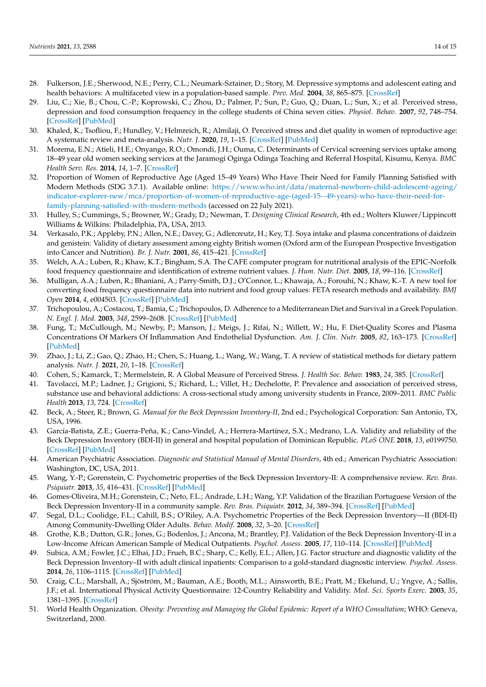- <span id="page-13-0"></span>28. Fulkerson, J.E.; Sherwood, N.E.; Perry, C.L.; Neumark-Sztainer, D.; Story, M. Depressive symptoms and adolescent eating and health behaviors: A multifaceted view in a population-based sample. *Prev. Med.* **2004**, *38*, 865–875. [\[CrossRef\]](http://doi.org/10.1016/j.ypmed.2003.12.028)
- <span id="page-13-1"></span>29. Liu, C.; Xie, B.; Chou, C.-P.; Koprowski, C.; Zhou, D.; Palmer, P.; Sun, P.; Guo, Q.; Duan, L.; Sun, X.; et al. Perceived stress, depression and food consumption frequency in the college students of China seven cities. *Physiol. Behav.* **2007**, *92*, 748–754. [\[CrossRef\]](http://doi.org/10.1016/j.physbeh.2007.05.068) [\[PubMed\]](http://www.ncbi.nlm.nih.gov/pubmed/17585967)
- <span id="page-13-2"></span>30. Khaled, K.; Tsofliou, F.; Hundley, V.; Helmreich, R.; Almilaji, O. Perceived stress and diet quality in women of reproductive age: A systematic review and meta-analysis. *Nutr. J.* **2020**, *19*, 1–15. [\[CrossRef\]](http://doi.org/10.1186/s12937-020-00609-w) [\[PubMed\]](http://www.ncbi.nlm.nih.gov/pubmed/32859204)
- <span id="page-13-3"></span>31. Morema, E.N.; Atieli, H.E.; Onyango, R.O.; Omondi, J.H.; Ouma, C. Determinants of Cervical screening services uptake among 18–49 year old women seeking services at the Jaramogi Oginga Odinga Teaching and Referral Hospital, Kisumu, Kenya. *BMC Health Serv. Res.* **2014**, *14*, 1–7. [\[CrossRef\]](http://doi.org/10.1186/1472-6963-14-335)
- <span id="page-13-4"></span>32. Proportion of Women of Reproductive Age (Aged 15–49 Years) Who Have Their Need for Family Planning Satisfied with Modern Methods (SDG 3.7.1). Available online: [https://www.who.int/data/maternal-newborn-child-adolescent-ageing/](https://www.who.int/data/maternal-newborn-child-adolescent-ageing/indicator-explorer-new/mca/proportion-of-women-of-reproductive-age-(aged-15--49-years)-who-have-their-need-for-family-planning-satisfied-with-modern-methods) [indicator-explorer-new/mca/proportion-of-women-of-reproductive-age-\(aged-15--49-years\)-who-have-their-need-for](https://www.who.int/data/maternal-newborn-child-adolescent-ageing/indicator-explorer-new/mca/proportion-of-women-of-reproductive-age-(aged-15--49-years)-who-have-their-need-for-family-planning-satisfied-with-modern-methods)[family-planning-satisfied-with-modern-methods](https://www.who.int/data/maternal-newborn-child-adolescent-ageing/indicator-explorer-new/mca/proportion-of-women-of-reproductive-age-(aged-15--49-years)-who-have-their-need-for-family-planning-satisfied-with-modern-methods) (accessed on 22 July 2021).
- <span id="page-13-5"></span>33. Hulley, S.; Cummings, S.; Browner, W.; Grady, D.; Newman, T. *Designing Clinical Research*, 4th ed.; Wolters Kluwer/Lippincott Williams & Wilkins: Philadelphia, PA, USA, 2013.
- <span id="page-13-6"></span>34. Verkasalo, P.K.; Appleby, P.N.; Allen, N.E.; Davey, G.; Adlercreutz, H.; Key, T.J. Soya intake and plasma concentrations of daidzein and genistein: Validity of dietary assessment among eighty British women (Oxford arm of the European Prospective Investigation into Cancer and Nutrition). *Br. J. Nutr.* **2001**, *86*, 415–421. [\[CrossRef\]](http://doi.org/10.1079/BJN2001424)
- <span id="page-13-7"></span>35. Welch, A.A.; Luben, R.; Khaw, K.T.; Bingham, S.A. The CAFE computer program for nutritional analysis of the EPIC-Norfolk food frequency questionnaire and identification of extreme nutrient values. *J. Hum. Nutr. Diet.* **2005**, *18*, 99–116. [\[CrossRef\]](http://doi.org/10.1111/j.1365-277X.2005.00593.x)
- <span id="page-13-8"></span>36. Mulligan, A.A.; Luben, R.; Bhaniani, A.; Parry-Smith, D.J.; O'Connor, L.; Khawaja, A.; Forouhi, N.; Khaw, K.-T. A new tool for converting food frequency questionnaire data into nutrient and food group values: FETA research methods and availability. *BMJ Open* **2014**, *4*, e004503. [\[CrossRef\]](http://doi.org/10.1136/bmjopen-2013-004503) [\[PubMed\]](http://www.ncbi.nlm.nih.gov/pubmed/24674997)
- <span id="page-13-9"></span>37. Trichopoulou, A.; Costacou, T.; Bamia, C.; Trichopoulos, D. Adherence to a Mediterranean Diet and Survival in a Greek Population. *N. Engl. J. Med.* **2003**, *348*, 2599–2608. [\[CrossRef\]](http://doi.org/10.1056/NEJMoa025039) [\[PubMed\]](http://www.ncbi.nlm.nih.gov/pubmed/12826634)
- <span id="page-13-10"></span>38. Fung, T.; McCullough, M.; Newby, P.; Manson, J.; Meigs, J.; Rifai, N.; Willett, W.; Hu, F. Diet-Quality Scores and Plasma Concentrations Of Markers Of Inflammation And Endothelial Dysfunction. *Am. J. Clin. Nutr.* **2005**, *82*, 163–173. [\[CrossRef\]](http://doi.org/10.1093/ajcn/82.1.163) [\[PubMed\]](http://www.ncbi.nlm.nih.gov/pubmed/16002815)
- <span id="page-13-11"></span>39. Zhao, J.; Li, Z.; Gao, Q.; Zhao, H.; Chen, S.; Huang, L.; Wang, W.; Wang, T. A review of statistical methods for dietary pattern analysis. *Nutr. J.* **2021**, *20*, 1–18. [\[CrossRef\]](http://doi.org/10.1186/s12937-021-00692-7)
- <span id="page-13-12"></span>40. Cohen, S.; Kamarck, T.; Mermelstein, R. A Global Measure of Perceived Stress. *J. Health Soc. Behav.* **1983**, *24*, 385. [\[CrossRef\]](http://doi.org/10.2307/2136404)
- <span id="page-13-13"></span>41. Tavolacci, M.P.; Ladner, J.; Grigioni, S.; Richard, L.; Villet, H.; Dechelotte, P. Prevalence and association of perceived stress, substance use and behavioral addictions: A cross-sectional study among university students in France, 2009–2011. *BMC Public Health* **2013**, *13*, 724. [\[CrossRef\]](http://doi.org/10.1186/1471-2458-13-724)
- <span id="page-13-14"></span>42. Beck, A.; Steer, R.; Brown, G. *Manual for the Beck Depression Inventory-II*, 2nd ed.; Psychological Corporation: San Antonio, TX, USA, 1996.
- <span id="page-13-15"></span>43. García-Batista, Z.E.; Guerra-Peña, K.; Cano-Vindel, A.; Herrera-Martínez, S.X.; Medrano, L.A. Validity and reliability of the Beck Depression Inventory (BDI-II) in general and hospital population of Dominican Republic. *PLoS ONE* **2018**, *13*, e0199750. [\[CrossRef\]](http://doi.org/10.1371/journal.pone.0199750) [\[PubMed\]](http://www.ncbi.nlm.nih.gov/pubmed/29958268)
- <span id="page-13-16"></span>44. American Psychiatric Association. *Diagnostic and Statistical Manual of Mental Disorders*, 4th ed.; American Psychiatric Association: Washington, DC, USA, 2011.
- <span id="page-13-17"></span>45. Wang, Y.-P.; Gorenstein, C. Psychometric properties of the Beck Depression Inventory-II: A comprehensive review. *Rev. Bras. Psiquiatr.* **2013**, *35*, 416–431. [\[CrossRef\]](http://doi.org/10.1590/1516-4446-2012-1048) [\[PubMed\]](http://www.ncbi.nlm.nih.gov/pubmed/24402217)
- <span id="page-13-18"></span>46. Gomes-Oliveira, M.H.; Gorenstein, C.; Neto, F.L.; Andrade, L.H.; Wang, Y.P. Validation of the Brazilian Portuguese Version of the Beck Depression Inventory-II in a community sample. *Rev. Bras. Psiquiatr.* **2012**, *34*, 389–394. [\[CrossRef\]](http://doi.org/10.1016/j.rbp.2012.03.005) [\[PubMed\]](http://www.ncbi.nlm.nih.gov/pubmed/23429809)
- <span id="page-13-19"></span>47. Segal, D.L.; Coolidge, F.L.; Cahill, B.S.; O'Riley, A.A. Psychometric Properties of the Beck Depression Inventory—II (BDI-II) Among Community-Dwelling Older Adults. *Behav. Modif.* **2008**, *32*, 3–20. [\[CrossRef\]](http://doi.org/10.1177/0145445507303833)
- <span id="page-13-20"></span>48. Grothe, K.B.; Dutton, G.R.; Jones, G.; Bodenlos, J.; Ancona, M.; Brantley, P.J. Validation of the Beck Depression Inventory-II in a Low-Income African American Sample of Medical Outpatients. *Psychol. Assess.* **2005**, *17*, 110–114. [\[CrossRef\]](http://doi.org/10.1037/1040-3590.17.1.110) [\[PubMed\]](http://www.ncbi.nlm.nih.gov/pubmed/15769232)
- <span id="page-13-21"></span>49. Subica, A.M.; Fowler, J.C.; Elhai, J.D.; Frueh, B.C.; Sharp, C.; Kelly, E.L.; Allen, J.G. Factor structure and diagnostic validity of the Beck Depression Inventory–II with adult clinical inpatients: Comparison to a gold-standard diagnostic interview. *Psychol. Assess.* **2014**, *26*, 1106–1115. [\[CrossRef\]](http://doi.org/10.1037/a0036998) [\[PubMed\]](http://www.ncbi.nlm.nih.gov/pubmed/24932646)
- <span id="page-13-22"></span>50. Craig, C.L.; Marshall, A.; Sjöström, M.; Bauman, A.E.; Booth, M.L.; Ainsworth, B.E.; Pratt, M.; Ekelund, U.; Yngve, A.; Sallis, J.F.; et al. International Physical Activity Questionnaire: 12-Country Reliability and Validity. *Med. Sci. Sports Exerc.* **2003**, *35*, 1381–1395. [\[CrossRef\]](http://doi.org/10.1249/01.MSS.0000078924.61453.FB)
- <span id="page-13-23"></span>51. World Health Organization. *Obesity: Preventing and Managing the Global Epidemic: Report of a WHO Consultation*; WHO: Geneva, Switzerland, 2000.